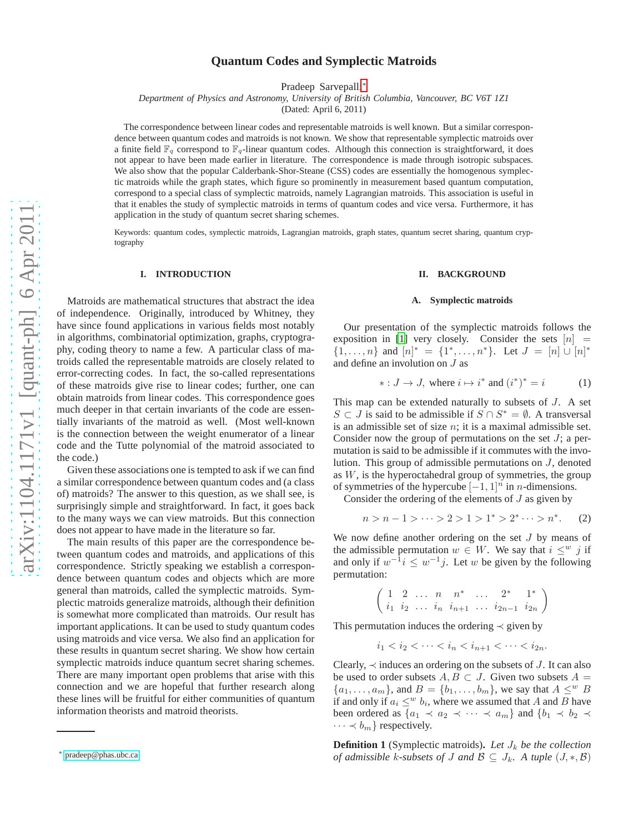# **Quantum Codes and Symplectic Matroids**

Pradeep Sarvepalli[∗](#page-0-0)

*Department of Physics and Astronomy, University of British Columbia, Vancouver, BC V6T 1Z1*

(Dated: April 6, 2011)

The correspondence between linear codes and representable matroids is well known. But a similar correspondence between quantum codes and matroids is not known. We show that representable symplectic matroids over a finite field  $\mathbb{F}_q$  correspond to  $\mathbb{F}_q$ -linear quantum codes. Although this connection is straightforward, it does not appear to have been made earlier in literature. The correspondence is made through isotropic subspaces. We also show that the popular Calderbank-Shor-Steane (CSS) codes are essentially the homogenous symplectic matroids while the graph states, which figure so prominently in measurement based quantum computation, correspond to a special class of symplectic matroids, namely Lagrangian matroids. This association is useful in that it enables the study of symplectic matroids in terms of quantum codes and vice versa. Furthermore, it has application in the study of quantum secret sharing schemes.

Keywords: quantum codes, symplectic matroids, Lagrangian matroids, graph states, quantum secret sharing, quantum cryptography

#### **I. INTRODUCTION**

Matroids are mathematical structures that abstract the idea of independence. Originally, introduced by Whitney, they have since found applications in various fields most notably in algorithms, combinatorial optimization, graphs, cryptography, coding theory to name a few. A particular class of matroids called the representable matroids are closely related to error-correcting codes. In fact, the so-called representations of these matroids give rise to linear codes; further, one can obtain matroids from linear codes. This correspondence goes much deeper in that certain invariants of the code are essentially invariants of the matroid as well. (Most well-known is the connection between the weight enumerator of a linear code and the Tutte polynomial of the matroid associated to the code.)

Given these associations one is tempted to ask if we can find a similar correspondence between quantum codes and (a class of) matroids? The answer to this question, as we shall see, is surprisingly simple and straightforward. In fact, it goes back to the many ways we can view matroids. But this connection does not appear to have made in the literature so far.

The main results of this paper are the correspondence between quantum codes and matroids, and applications of this correspondence. Strictly speaking we establish a correspondence between quantum codes and objects which are more general than matroids, called the symplectic matroids. Symplectic matroids generalize matroids, although their definition is somewhat more complicated than matroids. Our result has important applications. It can be used to study quantum codes using matroids and vice versa. We also find an application for these results in quantum secret sharing. We show how certain symplectic matroids induce quantum secret sharing schemes. There are many important open problems that arise with this connection and we are hopeful that further research along these lines will be fruitful for either communities of quantum information theorists and matroid theorists.

#### **II. BACKGROUND**

# **A. Symplectic matroids**

Our presentation of the symplectic matroids follows the exposition in [\[1\]](#page-6-0) very closely. Consider the sets  $[n]$  =  $\{1,\ldots,n\}$  and  $[n]^* = \{1^*,\ldots,n^*\}$ . Let  $J = [n] \cup [n]^*$ and define an involution on J as

<span id="page-0-1"></span>
$$
* : J \to J, \text{ where } i \mapsto i^* \text{ and } (i^*)^* = i \tag{1}
$$

This map can be extended naturally to subsets of J. A set S ⊂ J is said to be admissible if  $S \cap S^* = \emptyset$ . A transversal is an admissible set of size  $n$ ; it is a maximal admissible set. Consider now the group of permutations on the set  $J$ ; a permutation is said to be admissible if it commutes with the involution. This group of admissible permutations on J, denoted as  $W$ , is the hyperoctahedral group of symmetries, the group of symmetries of the hypercube  $[-1, 1]$ <sup>n</sup> in *n*-dimensions.

Consider the ordering of the elements of  $J$  as given by

$$
n > n - 1 > \dots > 2 > 1 > 1^* > 2^* \dots > n^*.
$$
 (2)

We now define another ordering on the set  $J$  by means of the admissible permutation  $w \in W$ . We say that  $i \leq^w j$  if and only if  $w^{-1}i \leq w^{-1}j$ . Let w be given by the following permutation:

$$
\left(\begin{array}{ccccccccc}\n1 & 2 & \dots & n & n^* & \dots & 2^* & 1^* \\
i_1 & i_2 & \dots & i_n & i_{n+1} & \dots & i_{2n-1} & i_{2n}\n\end{array}\right)
$$

This permutation induces the ordering  $\prec$  given by

$$
i_1 < i_2 < \cdots < i_n < i_{n+1} < \cdots < i_{2n}.
$$

Clearly,  $\prec$  induces an ordering on the subsets of J. It can also be used to order subsets  $A, B \subset J$ . Given two subsets  $A =$  ${a_1, \ldots, a_m}$ , and  $B = {b_1, \ldots, b_m}$ , we say that  $A \leq^w B$ if and only if  $a_i \leq^w b_i$ , where we assumed that A and B have been ordered as  $\{a_1 \prec a_2 \prec \cdots \prec a_m\}$  and  $\{b_1 \prec b_2 \prec$  $\cdots \prec b_m$ } respectively.

**Definition 1** (Symplectic matroids). Let  $J_k$  be the collection *of admissible* k-subsets of *J* and  $\mathcal{B} \subseteq J_k$ . A tuple  $(J, *, \mathcal{B})$ 

<span id="page-0-0"></span><sup>∗</sup> [pradeep@phas.ubc.ca](mailto:pradeep@phas.ubc.ca)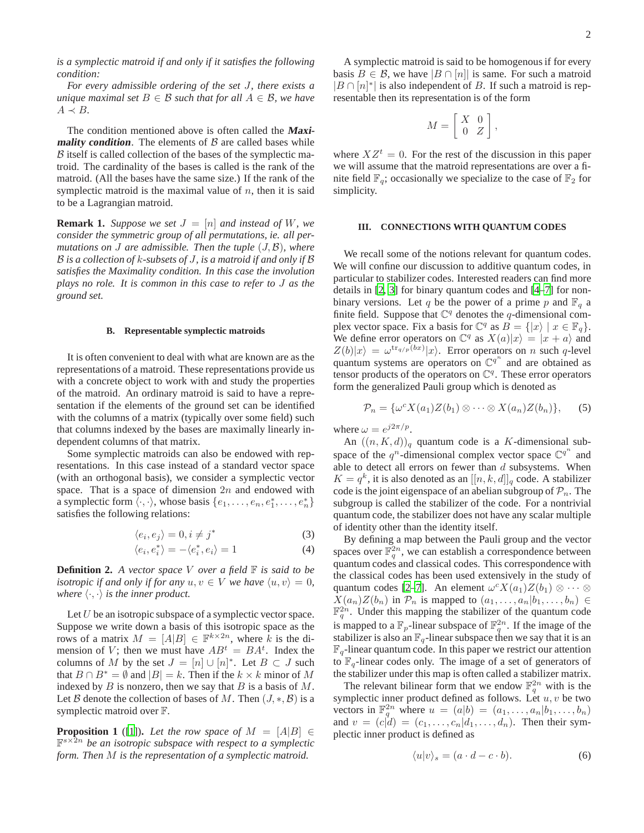*is a symplectic matroid if and only if it satisfies the following condition:*

*For every admissible ordering of the set* J*, there exists a unique maximal set*  $B \in \mathcal{B}$  *such that for all*  $A \in \mathcal{B}$ *, we have*  $A \prec B$ .

The condition mentioned above is often called the **Maximality condition**. The elements of  $\beta$  are called bases while  $\beta$  itself is called collection of the bases of the symplectic matroid. The cardinality of the bases is called is the rank of the matroid. (All the bases have the same size.) If the rank of the symplectic matroid is the maximal value of  $n$ , then it is said to be a Lagrangian matroid.

**Remark 1.** *Suppose we set*  $J = [n]$  *and instead of W, we consider the symmetric group of all permutations, ie. all permutations on* J *are admissible. Then the tuple* (J, B)*, where* B *is a collection of* k*-subsets of* J*, is a matroid if and only if* B *satisfies the Maximality condition. In this case the involution plays no role. It is common in this case to refer to* J *as the ground set.*

# **B. Representable symplectic matroids**

It is often convenient to deal with what are known are as the representations of a matroid. These representations provide us with a concrete object to work with and study the properties of the matroid. An ordinary matroid is said to have a representation if the elements of the ground set can be identified with the columns of a matrix (typically over some field) such that columns indexed by the bases are maximally linearly independent columns of that matrix.

Some symplectic matroids can also be endowed with representations. In this case instead of a standard vector space (with an orthogonal basis), we consider a symplectic vector space. That is a space of dimension  $2n$  and endowed with a symplectic form  $\langle \cdot, \cdot \rangle$ , whose basis  $\{e_1, \ldots, e_n, e_1^*, \ldots, e_n^*\}$ satisfies the following relations:

$$
\langle e_i, e_j \rangle = 0, i \neq j^*
$$
 (3)

$$
\langle e_i, e_i^* \rangle = -\langle e_i^*, e_i \rangle = 1 \tag{4}
$$

**Definition 2.** *A vector space* V *over a field* F *is said to be isotropic if and only if for any*  $u, v \in V$  *we have*  $\langle u, v \rangle = 0$ , *where*  $\langle \cdot, \cdot \rangle$  *is the inner product.* 

Let  $U$  be an isotropic subspace of a symplectic vector space. Suppose we write down a basis of this isotropic space as the rows of a matrix  $M = [A|B] \in \mathbb{F}^{k \times 2n}$ , where k is the dimension of V; then we must have  $AB^t = BA^t$ . Index the columns of M by the set  $J = [n] \cup [n]^*$ . Let  $B \subset J$  such that  $B \cap B^* = \emptyset$  and  $|B| = k$ . Then if the  $k \times k$  minor of M indexed by  $B$  is nonzero, then we say that  $B$  is a basis of  $M$ . Let B denote the collection of bases of M. Then  $(J, *, \mathcal{B})$  is a symplectic matroid over F.

<span id="page-1-0"></span>**Proposition 1** ([\[1\]](#page-6-0)). Let the row space of  $M = [A|B] \in$ F <sup>s</sup>×2<sup>n</sup> *be an isotropic subspace with respect to a symplectic form. Then* M *is the representation of a symplectic matroid.*

A symplectic matroid is said to be homogenous if for every basis  $B \in \mathcal{B}$ , we have  $|B \cap [n]|$  is same. For such a matroid  $|B \cap [n]^*|$  is also independent of B. If such a matroid is representable then its representation is of the form

$$
M = \left[ \begin{array}{cc} X & 0 \\ 0 & Z \end{array} \right],
$$

where  $XZ^{t} = 0$ . For the rest of the discussion in this paper we will assume that the matroid representations are over a finite field  $\mathbb{F}_q$ ; occasionally we specialize to the case of  $\mathbb{F}_2$  for simplicity.

### **III. CONNECTIONS WITH QUANTUM CODES**

We recall some of the notions relevant for quantum codes. We will confine our discussion to additive quantum codes, in particular to stabilizer codes. Interested readers can find more details in [\[2,](#page-6-1) [3](#page-6-2)] for binary quantum codes and [\[4](#page-6-3)[–7](#page-6-4)] for nonbinary versions. Let q be the power of a prime p and  $\mathbb{F}_q$  a finite field. Suppose that  $\mathbb{C}^q$  denotes the q-dimensional complex vector space. Fix a basis for  $\mathbb{C}^q$  as  $B = \{|x\rangle | x \in \mathbb{F}_q\}.$ We define error operators on  $\mathbb{C}^q$  as  $X(a)|x\rangle = |x + a\rangle$  and  $Z(b)|x\rangle = \omega^{\text{tr}_{q/p}(bx)}|x\rangle$ . Error operators on n such q-level quantum systems are operators on  $\mathbb{C}^{q^n}$  and are obtained as tensor products of the operators on  $\mathbb{C}^q$ . These error operators form the generalized Pauli group which is denoted as

$$
\mathcal{P}_n = \{ \omega^c X(a_1) Z(b_1) \otimes \cdots \otimes X(a_n) Z(b_n) \},\qquad(5)
$$

where  $\omega = e^{j2\pi/p}$ .

An  $((n, K, d))_q$  quantum code is a K-dimensional subspace of the  $q^n$ -dimensional complex vector space  $\mathbb{C}^{q^n}$  and able to detect all errors on fewer than  $d$  subsystems. When  $K = q^k$ , it is also denoted as an  $[[n, k, d]]_q$  code. A stabilizer code is the joint eigenspace of an abelian subgroup of  $\mathcal{P}_n$ . The subgroup is called the stabilizer of the code. For a nontrivial quantum code, the stabilizer does not have any scalar multiple of identity other than the identity itself.

By defining a map between the Pauli group and the vector spaces over  $\mathbb{F}_q^{2n}$ , we can establish a correspondence between quantum codes and classical codes. This correspondence with the classical codes has been used extensively in the study of quantum codes [\[2](#page-6-1)[–7](#page-6-4)]. An element  $\omega^{c} X(a_1) Z(b_1) \otimes \cdots \otimes$  $X(a_n)Z(b_n)$  in  $\mathcal{P}_n$  is mapped to  $(a_1, \ldots, a_n | b_1, \ldots, b_n) \in$  $\mathbb{F}_q^{2n}$ . Under this mapping the stabilizer of the quantum code is mapped to a  $\mathbb{F}_p$ -linear subspace of  $\mathbb{F}_q^{2n}$ . If the image of the stabilizer is also an  $\mathbb{F}_q$ -linear subspace then we say that it is an  $\mathbb{F}_q$ -linear quantum code. In this paper we restrict our attention to  $\mathbb{F}_q$ -linear codes only. The image of a set of generators of the stabilizer under this map is often called a stabilizer matrix.

The relevant bilinear form that we endow  $\mathbb{F}_q^{2n}$  with is the symplectic inner product defined as follows. Let  $u, v$  be two vectors in  $\mathbb{F}_q^{2n}$  where  $u = (a|b) = (a_1, \ldots, a_n|b_1, \ldots, b_n)$ and  $v = (c|d) = (c_1, \ldots, c_n|d_1, \ldots, d_n)$ . Then their symplectic inner product is defined as

$$
\langle u|v\rangle_s = (a \cdot d - c \cdot b). \tag{6}
$$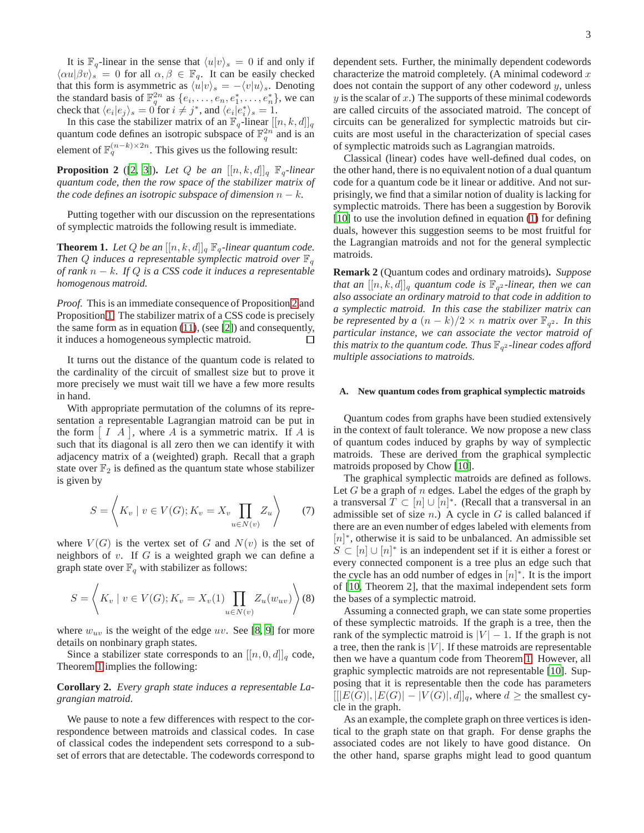It is  $\mathbb{F}_q$ -linear in the sense that  $\langle u|v\rangle_s = 0$  if and only if  $\langle \alpha u | \beta v \rangle_s = 0$  for all  $\alpha, \beta \in \mathbb{F}_q$ . It can be easily checked that this form is asymmetric as  $\langle u|v\rangle_s = -\langle v|u\rangle_s$ . Denoting the standard basis of  $\mathbb{F}_q^{2n}$  as  $\{e_i, \ldots, e_n, e_1^*, \ldots, e_n^*\}$ , we can check that  $\langle e_i | e_j \rangle_s = 0$  for  $i \neq j^*$ , and  $\langle e_i | e_i^* \rangle_s = 1$ .

In this case the stabilizer matrix of an  $\mathbb{F}_q$ -linear  $[[n, k, d]]_q$ quantum code defines an isotropic subspace of  $\mathbb{F}_q^{2n}$  and is an element of  $\mathbb{F}_q^{(n-k)\times 2n}$ . This gives us the following result:

<span id="page-2-0"></span>**Proposition 2** ([\[2](#page-6-1), [3](#page-6-2)]). Let Q be an  $[[n, k, d]]_q$   $\mathbb{F}_q$ -linear *quantum code, then the row space of the stabilizer matrix of the code defines an isotropic subspace of dimension*  $n - k$ *.* 

Putting together with our discussion on the representations of symplectic matroids the following result is immediate.

<span id="page-2-1"></span>**Theorem 1.** Let Q be an  $[[n, k, d]]_q \mathbb{F}_q$ -linear quantum code. *Then Q induces a representable symplectic matroid over*  $\mathbb{F}_q$ *of rank* n − k*. If* Q *is a CSS code it induces a representable homogenous matroid.*

*Proof.* This is an immediate consequence of Proposition [2](#page-2-0) and Proposition [1.](#page-1-0) The stabilizer matrix of a CSS code is precisely the same form as in equation [\(11\)](#page-3-0), (see [\[2\]](#page-6-1)) and consequently, it induces a homogeneous symplectic matroid. □

It turns out the distance of the quantum code is related to the cardinality of the circuit of smallest size but to prove it more precisely we must wait till we have a few more results in hand.

With appropriate permutation of the columns of its representation a representable Lagrangian matroid can be put in the form  $[I \, A]$ , where A is a symmetric matrix. If A is such that its diagonal is all zero then we can identify it with adjacency matrix of a (weighted) graph. Recall that a graph state over  $\mathbb{F}_2$  is defined as the quantum state whose stabilizer is given by

$$
S = \left\langle K_v \mid v \in V(G); K_v = X_v \prod_{u \in N(v)} Z_u \right\rangle \tag{7}
$$

where  $V(G)$  is the vertex set of G and  $N(v)$  is the set of neighbors of  $v$ . If  $G$  is a weighted graph we can define a graph state over  $\mathbb{F}_q$  with stabilizer as follows:

$$
S = \left\langle K_v \mid v \in V(G); K_v = X_v(1) \prod_{u \in N(v)} Z_u(w_{uv}) \right\rangle (8)
$$

where  $w_{uv}$  is the weight of the edge uv. See [\[8](#page-6-5), [9\]](#page-6-6) for more details on nonbinary graph states.

Since a stabilizer state corresponds to an  $[[n, 0, d]]_q$  code, Theorem [1](#page-2-1) implies the following:

# **Corollary 2.** *Every graph state induces a representable Lagrangian matroid.*

We pause to note a few differences with respect to the correspondence between matroids and classical codes. In case of classical codes the independent sets correspond to a subset of errors that are detectable. The codewords correspond to dependent sets. Further, the minimally dependent codewords characterize the matroid completely. (A minimal codeword  $x$ does not contain the support of any other codeword  $y$ , unless  $y$  is the scalar of  $x$ .) The supports of these minimal codewords are called circuits of the associated matroid. The concept of circuits can be generalized for symplectic matroids but circuits are most useful in the characterization of special cases of symplectic matroids such as Lagrangian matroids.

Classical (linear) codes have well-defined dual codes, on the other hand, there is no equivalent notion of a dual quantum code for a quantum code be it linear or additive. And not surprisingly, we find that a similar notion of duality is lacking for symplectic matroids. There has been a suggestion by Borovik [\[10](#page-6-7)] to use the involution defined in equation [\(1\)](#page-0-1) for defining duals, however this suggestion seems to be most fruitful for the Lagrangian matroids and not for the general symplectic matroids.

**Remark 2** (Quantum codes and ordinary matroids)**.** *Suppose that an*  $[[n, k, d]]_q$  quantum code is  $\mathbb{F}_{q^2}$ -linear, then we can *also associate an ordinary matroid to that code in addition to a symplectic matroid. In this case the stabilizer matrix can be represented by a*  $(n - k)/2 \times n$  *matrix over*  $\mathbb{F}_{q^2}$ *. In this particular instance, we can associate the vector matroid of*  $t$ his matrix to the quantum code. Thus  $\mathbb{F}_{q^2}$ -linear codes afford *multiple associations to matroids.*

# **A. New quantum codes from graphical symplectic matroids**

Quantum codes from graphs have been studied extensively in the context of fault tolerance. We now propose a new class of quantum codes induced by graphs by way of symplectic matroids. These are derived from the graphical symplectic matroids proposed by Chow [\[10](#page-6-7)].

The graphical symplectic matroids are defined as follows. Let  $G$  be a graph of  $n$  edges. Label the edges of the graph by a transversal  $T \subset [n] \cup [n]^*$ . (Recall that a transversal in an admissible set of size  $n$ .) A cycle in  $G$  is called balanced if there are an even number of edges labeled with elements from [n]<sup>\*</sup>, otherwise it is said to be unbalanced. An admissible set  $S \subset [n] \cup [n]^*$  is an independent set if it is either a forest or every connected component is a tree plus an edge such that the cycle has an odd number of edges in  $[n]^*$ . It is the import of [\[10,](#page-6-7) Theorem 2], that the maximal independent sets form the bases of a symplectic matroid.

Assuming a connected graph, we can state some properties of these symplectic matroids. If the graph is a tree, then the rank of the symplectic matroid is  $|V| - 1$ . If the graph is not a tree, then the rank is  $|V|$ . If these matroids are representable then we have a quantum code from Theorem [1.](#page-2-1) However, all graphic symplectic matroids are not representable [\[10\]](#page-6-7). Supposing that it is representable then the code has parameters  $[[|E(G)|, |E(G)| - |V(G)|, d]]_q$ , where  $d \geq$  the smallest cycle in the graph.

As an example, the complete graph on three vertices is identical to the graph state on that graph. For dense graphs the associated codes are not likely to have good distance. On the other hand, sparse graphs might lead to good quantum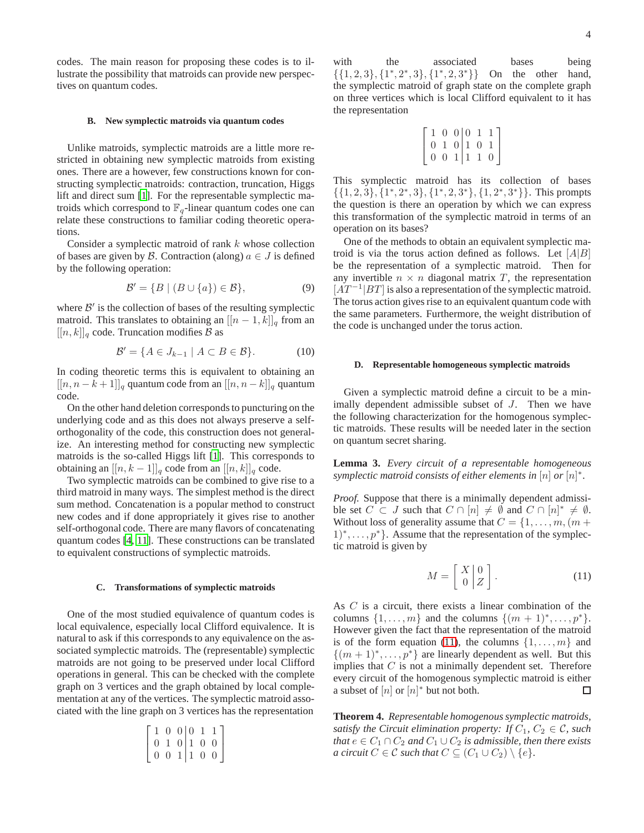codes. The main reason for proposing these codes is to illustrate the possibility that matroids can provide new perspectives on quantum codes.

#### **B. New symplectic matroids via quantum codes**

Unlike matroids, symplectic matroids are a little more restricted in obtaining new symplectic matroids from existing ones. There are a however, few constructions known for constructing symplectic matroids: contraction, truncation, Higgs lift and direct sum [\[1](#page-6-0)]. For the representable symplectic matroids which correspond to  $\mathbb{F}_q$ -linear quantum codes one can relate these constructions to familiar coding theoretic operations.

Consider a symplectic matroid of rank k whose collection of bases are given by B. Contraction (along)  $a \in J$  is defined by the following operation:

$$
\mathcal{B}' = \{ B \mid (B \cup \{a\}) \in \mathcal{B} \},\tag{9}
$$

where  $B'$  is the collection of bases of the resulting symplectic matroid. This translates to obtaining an  $[[n-1,k]]_q$  from an  $[[n, k]]_q$  code. Truncation modifies  $\beta$  as

$$
\mathcal{B}' = \{ A \in J_{k-1} \mid A \subset B \in \mathcal{B} \}. \tag{10}
$$

In coding theoretic terms this is equivalent to obtaining an  $[[n, n-k+1]]_q$  quantum code from an  $[[n, n-k]]_q$  quantum code.

On the other hand deletion corresponds to puncturing on the underlying code and as this does not always preserve a selforthogonality of the code, this construction does not generalize. An interesting method for constructing new symplectic matroids is the so-called Higgs lift [\[1](#page-6-0)]. This corresponds to obtaining an  $[[n, k-1]]_q$  code from an  $[[n, k]]_q$  code.

Two symplectic matroids can be combined to give rise to a third matroid in many ways. The simplest method is the direct sum method. Concatenation is a popular method to construct new codes and if done appropriately it gives rise to another self-orthogonal code. There are many flavors of concatenating quantum codes [\[4](#page-6-3), [11](#page-6-8)]. These constructions can be translated to equivalent constructions of symplectic matroids.

### **C. Transformations of symplectic matroids**

One of the most studied equivalence of quantum codes is local equivalence, especially local Clifford equivalence. It is natural to ask if this corresponds to any equivalence on the associated symplectic matroids. The (representable) symplectic matroids are not going to be preserved under local Clifford operations in general. This can be checked with the complete graph on 3 vertices and the graph obtained by local complementation at any of the vertices. The symplectic matroid associated with the line graph on 3 vertices has the representation

$$
\left[\begin{array}{rrr} 1 & 0 & 0 & 0 & 1 & 1 \\ 0 & 1 & 0 & 1 & 0 & 0 \\ 0 & 0 & 1 & 1 & 0 & 0 \end{array}\right]
$$

with the associated bases being  $\{\{1, 2, 3\}, \{1^*, 2^*, 3\}, \{1^*, 2, 3\}$ On the other hand, the symplectic matroid of graph state on the complete graph on three vertices which is local Clifford equivalent to it has the representation

$$
\left[\begin{array}{rrr|r} 1 & 0 & 0 & 0 & 1 & 1 \\ 0 & 1 & 0 & 1 & 0 & 1 \\ 0 & 0 & 1 & 1 & 1 & 0 \end{array}\right]
$$

This symplectic matroid has its collection of bases  $\{\{1, 2, 3\}, \{1^*, 2^*, 3\}, \{1^*, 2, 3^*\}, \{1, 2^*, 3^*\}\}.$  This prompts the question is there an operation by which we can express this transformation of the symplectic matroid in terms of an operation on its bases?

One of the methods to obtain an equivalent symplectic matroid is via the torus action defined as follows. Let  $[A|B]$ be the representation of a symplectic matroid. Then for any invertible  $n \times n$  diagonal matrix  $T$ , the representation  $[AT^{-1}|BT]$  is also a representation of the symplectic matroid. The torus action gives rise to an equivalent quantum code with the same parameters. Furthermore, the weight distribution of the code is unchanged under the torus action.

## **D. Representable homogeneous symplectic matroids**

Given a symplectic matroid define a circuit to be a minimally dependent admissible subset of J. Then we have the following characterization for the homogenous symplectic matroids. These results will be needed later in the section on quantum secret sharing.

<span id="page-3-1"></span>**Lemma 3.** *Every circuit of a representable homogeneous symplectic matroid consists of either elements in*  $[n]$  *or*  $[n]^*$ .

*Proof.* Suppose that there is a minimally dependent admissible set  $C \subset J$  such that  $C \cap [n] \neq \emptyset$  and  $C \cap [n]^* \neq \emptyset$ . Without loss of generality assume that  $C = \{1, \ldots, m, (m + \alpha)\}$ 1)<sup>\*</sup>, . . . , p<sup>\*</sup> }. Assume that the representation of the symplectic matroid is given by

<span id="page-3-0"></span>
$$
M = \left[ \begin{array}{c} X \\ 0 \end{array} \right] \begin{array}{c} 0 \\ Z \end{array} \right]. \tag{11}
$$

As C is a circuit, there exists a linear combination of the columns  $\{1, \ldots, m\}$  and the columns  $\{(m+1)^*, \ldots, p^*\}.$ However given the fact that the representation of the matroid is of the form equation [\(11\)](#page-3-0), the columns  $\{1, \ldots, m\}$  and  $\{(m+1)^*, \ldots, p^*\}$  are linearly dependent as well. But this implies that  $C$  is not a minimally dependent set. Therefore every circuit of the homogenous symplectic matroid is either a subset of  $[n]$  or  $[n]^*$  but not both. □

**Theorem 4.** *Representable homogenous symplectic matroids, satisfy the Circuit elimination property: If*  $C_1$ ,  $C_2 \in \mathcal{C}$ *, such that*  $e \in C_1 \cap C_2$  *and*  $C_1 \cup C_2$  *is admissible, then there exists a circuit*  $C \in \mathcal{C}$  *such that*  $C \subseteq (C_1 \cup C_2) \setminus \{e\}.$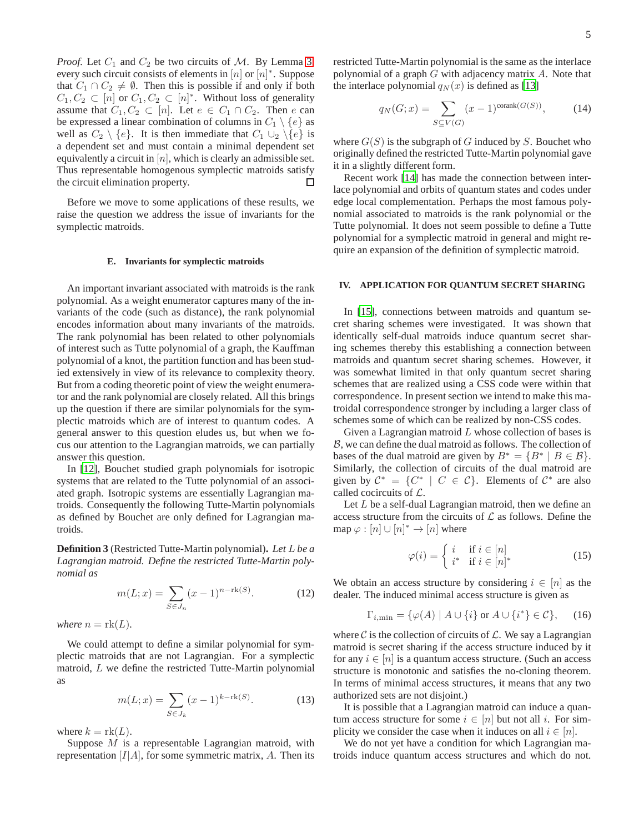*Proof.* Let  $C_1$  and  $C_2$  be two circuits of M. By Lemma [3,](#page-3-1) every such circuit consists of elements in  $[n]$  or  $[n]^*$ . Suppose that  $C_1 \cap C_2 \neq \emptyset$ . Then this is possible if and only if both  $C_1, C_2 \subset [n]$  or  $C_1, C_2 \subset [n]^*$ . Without loss of generality assume that  $C_1, C_2 \subset [n]$ . Let  $e \in C_1 \cap C_2$ . Then e can be expressed a linear combination of columns in  $C_1 \setminus \{e\}$  as well as  $C_2 \setminus \{e\}$ . It is then immediate that  $C_1 \cup_2 \setminus \{e\}$  is a dependent set and must contain a minimal dependent set equivalently a circuit in  $[n]$ , which is clearly an admissible set. Thus representable homogenous symplectic matroids satisfy the circuit elimination property. □

Before we move to some applications of these results, we raise the question we address the issue of invariants for the symplectic matroids.

## **E. Invariants for symplectic matroids**

An important invariant associated with matroids is the rank polynomial. As a weight enumerator captures many of the invariants of the code (such as distance), the rank polynomial encodes information about many invariants of the matroids. The rank polynomial has been related to other polynomials of interest such as Tutte polynomial of a graph, the Kauffman polynomial of a knot, the partition function and has been studied extensively in view of its relevance to complexity theory. But from a coding theoretic point of view the weight enumerator and the rank polynomial are closely related. All this brings up the question if there are similar polynomials for the symplectic matroids which are of interest to quantum codes. A general answer to this question eludes us, but when we focus our attention to the Lagrangian matroids, we can partially answer this question.

In [\[12\]](#page-6-9), Bouchet studied graph polynomials for isotropic systems that are related to the Tutte polynomial of an associated graph. Isotropic systems are essentially Lagrangian matroids. Consequently the following Tutte-Martin polynomials as defined by Bouchet are only defined for Lagrangian matroids.

**Definition 3** (Restricted Tutte-Martin polynomial)**.** *Let* L *be a Lagrangian matroid. Define the restricted Tutte-Martin polynomial as*

$$
m(L; x) = \sum_{S \in J_n} (x - 1)^{n - \text{rk}(S)}.
$$
 (12)

*where*  $n = \text{rk}(L)$ *.* 

We could attempt to define a similar polynomial for symplectic matroids that are not Lagrangian. For a symplectic matroid, L we define the restricted Tutte-Martin polynomial as

$$
m(L; x) = \sum_{S \in J_k} (x - 1)^{k - \text{rk}(S)}.
$$
 (13)

where  $k = \text{rk}(L)$ .

Suppose M is a representable Lagrangian matroid, with representation  $[I|A]$ , for some symmetric matrix, A. Then its restricted Tutte-Martin polynomial is the same as the interlace polynomial of a graph  $G$  with adjacency matrix  $A$ . Note that the interlace polynomial  $q_N(x)$  is defined as [\[13\]](#page-6-10)

$$
q_N(G; x) = \sum_{S \subseteq V(G)} (x - 1)^{\text{corank}(G(S))},
$$
 (14)

where  $G(S)$  is the subgraph of G induced by S. Bouchet who originally defined the restricted Tutte-Martin polynomial gave it in a slightly different form.

Recent work [\[14\]](#page-6-11) has made the connection between interlace polynomial and orbits of quantum states and codes under edge local complementation. Perhaps the most famous polynomial associated to matroids is the rank polynomial or the Tutte polynomial. It does not seem possible to define a Tutte polynomial for a symplectic matroid in general and might require an expansion of the definition of symplectic matroid.

# **IV. APPLICATION FOR QUANTUM SECRET SHARING**

In [\[15\]](#page-6-12), connections between matroids and quantum secret sharing schemes were investigated. It was shown that identically self-dual matroids induce quantum secret sharing schemes thereby this establishing a connection between matroids and quantum secret sharing schemes. However, it was somewhat limited in that only quantum secret sharing schemes that are realized using a CSS code were within that correspondence. In present section we intend to make this matroidal correspondence stronger by including a larger class of schemes some of which can be realized by non-CSS codes.

Given a Lagrangian matroid  $L$  whose collection of bases is  $B$ , we can define the dual matroid as follows. The collection of bases of the dual matroid are given by  $B^* = \{B^* \mid B \in \mathcal{B}\}.$ Similarly, the collection of circuits of the dual matroid are given by  $C^* = \{C^* | C \in C\}$ . Elements of  $C^*$  are also called cocircuits of L.

Let  $L$  be a self-dual Lagrangian matroid, then we define an access structure from the circuits of  $\mathcal L$  as follows. Define the map  $\varphi : [n] \cup [n]^* \to [n]$  where

$$
\varphi(i) = \begin{cases} i & \text{if } i \in [n] \\ i^* & \text{if } i \in [n]^* \end{cases}
$$
 (15)

We obtain an access structure by considering  $i \in [n]$  as the dealer. The induced minimal access structure is given as

<span id="page-4-0"></span>
$$
\Gamma_{i,\min} = \{ \varphi(A) \mid A \cup \{i\} \text{ or } A \cup \{i^*\} \in \mathcal{C} \}, \quad (16)
$$

where  $\mathcal C$  is the collection of circuits of  $\mathcal L$ . We say a Lagrangian matroid is secret sharing if the access structure induced by it for any  $i \in [n]$  is a quantum access structure. (Such an access structure is monotonic and satisfies the no-cloning theorem. In terms of minimal access structures, it means that any two authorized sets are not disjoint.)

It is possible that a Lagrangian matroid can induce a quantum access structure for some  $i \in [n]$  but not all i. For simplicity we consider the case when it induces on all  $i \in [n]$ .

We do not yet have a condition for which Lagrangian matroids induce quantum access structures and which do not.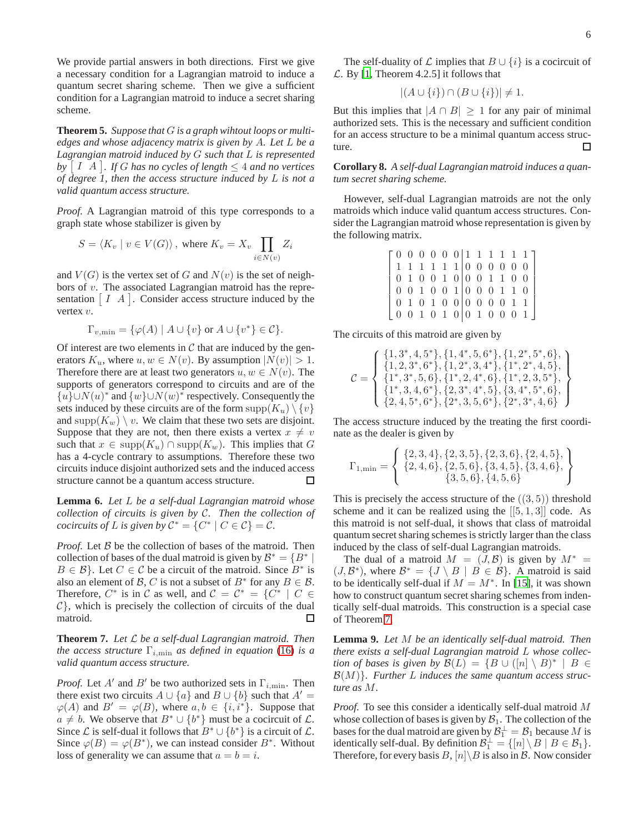We provide partial answers in both directions. First we give a necessary condition for a Lagrangian matroid to induce a quantum secret sharing scheme. Then we give a sufficient condition for a Lagrangian matroid to induce a secret sharing scheme.

**Theorem 5.** *Suppose that* G *is a graph wihtout loops or multiedges and whose adjacency matrix is given by* A*. Let* L *be a Lagrangian matroid induced by* G *such that* L *is represented*  $by$   $\lceil$   $I \, A$   $\rceil$ . If  $G$  has no cycles of length  $\leq 4$  and no vertices *of degree 1, then the access structure induced by* L *is not a valid quantum access structure.*

*Proof.* A Lagrangian matroid of this type corresponds to a graph state whose stabilizer is given by

$$
S = \langle K_v \mid v \in V(G) \rangle, \text{ where } K_v = X_v \prod_{i \in N(v)} Z_i
$$

and  $V(G)$  is the vertex set of G and  $N(v)$  is the set of neighbors of v. The associated Lagrangian matroid has the representation  $[I \ A]$ . Consider access structure induced by the vertex v.

$$
\Gamma_{v,\min} = \{ \varphi(A) \mid A \cup \{v\} \text{ or } A \cup \{v^*\} \in \mathcal{C} \}.
$$

Of interest are two elements in  $\mathcal C$  that are induced by the generators  $K_u$ , where  $u, w \in N(v)$ . By assumption  $|N(v)| > 1$ . Therefore there are at least two generators  $u, w \in N(v)$ . The supports of generators correspond to circuits and are of the { $u$ }∪ $N(u)$ <sup>\*</sup> and { $w$ }∪ $N(w)$ <sup>\*</sup> respectively. Consequently the sets induced by these circuits are of the form  $\text{supp}(K_u) \setminus \{v\}$ and supp $(K_w) \setminus v$ . We claim that these two sets are disjoint. Suppose that they are not, then there exists a vertex  $x \neq v$ such that  $x \in \text{supp}(K_u) \cap \text{supp}(K_w)$ . This implies that G has a 4-cycle contrary to assumptions. Therefore these two circuits induce disjoint authorized sets and the induced access structure cannot be a quantum access structure. П

**Lemma 6.** *Let* L *be a self-dual Lagrangian matroid whose collection of circuits is given by* C*. Then the collection of cocircuits of* L *is given by*  $C^* = \{C^* | C \in C\} = C$ *.* 

*Proof.* Let B be the collection of bases of the matroid. Then collection of bases of the dual matroid is given by  $\mathcal{B}^* = \{B^*\mid$  $B \in \mathcal{B}$ . Let  $C \in \mathcal{C}$  be a circuit of the matroid. Since  $B^*$  is also an element of B, C is not a subset of  $B^*$  for any  $B \in \mathcal{B}$ . Therefore,  $C^*$  is in C as well, and  $C = C^* = \{C^* | C \in$  $C$ }, which is precisely the collection of circuits of the dual matroid.  $\Box$ 

<span id="page-5-0"></span>**Theorem 7.** *Let* L *be a self-dual Lagrangian matroid. Then the access structure*  $\Gamma_{i,\text{min}}$  *as defined in equation* [\(16\)](#page-4-0) *is a valid quantum access structure.*

*Proof.* Let A' and B' be two authorized sets in  $\Gamma_{i,\text{min}}$ . Then there exist two circuits  $A \cup \{a\}$  and  $B \cup \{b\}$  such that  $A' =$  $\varphi(A)$  and  $B' = \varphi(B)$ , where  $a, b \in \{i, i^*\}$ . Suppose that  $a \neq b$ . We observe that  $B^* \cup \{b^*\}$  must be a cocircuit of  $\mathcal{L}$ . Since *L* is self-dual it follows that  $B^* \cup \{b^*\}$  is a circuit of *L*. Since  $\varphi(B) = \varphi(B^*)$ , we can instead consider  $B^*$ . Without loss of generality we can assume that  $a = b = i$ .

The self-duality of  $\mathcal L$  implies that  $B \cup \{i\}$  is a cocircuit of  $\mathcal{L}$ . By [\[1,](#page-6-0) Theorem 4.2.5] it follows that

$$
|(A \cup \{i\}) \cap (B \cup \{i\})| \neq 1.
$$

But this implies that  $|A \cap B| \ge 1$  for any pair of minimal authorized sets. This is the necessary and sufficient condition for an access structure to be a minimal quantum access structure. □

**Corollary 8.** *A self-dual Lagrangian matroid induces a quantum secret sharing scheme.*

However, self-dual Lagrangian matroids are not the only matroids which induce valid quantum access structures. Consider the Lagrangian matroid whose representation is given by the following matrix.

|  |  |  |  |  |                                                 | [0 0 0 0 0 0   1 1 1 1 1 1 ] |
|--|--|--|--|--|-------------------------------------------------|------------------------------|
|  |  |  |  |  | 1 1 1 1 1 1 0 0 0 0 0 0                         |                              |
|  |  |  |  |  | 0 1 0 0 1 0 0 0 1 1 0 0                         |                              |
|  |  |  |  |  | $0 \t0 \t1 \t0 \t0 \t1 \t0 \t0 \t0 \t1 \t1 \t0$ |                              |
|  |  |  |  |  | 0 1 0 1 0 0 0 0 0 0 1 1                         |                              |
|  |  |  |  |  | [0 0 1 0 1 0 0 1 0 0 0 1]                       |                              |

The circuits of this matroid are given by

$$
\mathcal{C} = \left\{ \begin{array}{l}\{1,3^*,4,5^*\},\{1,4^*,5,6^*\},\{1,2^*,5^*,6\},\\\{1,2,3^*,6^*\},\{1,2^*,3,4^*\},\{1^*,2^*,4,5\},\\\{1^*,3^*,5,6\},\{1^*,2,4^*,6\},\{1^*,2,3,5^*\},\\\{1^*,3,4,6^*\},\{2,3^*,4^*,5\},\{3,4^*,5^*,6\},\\\{2,4,5^*,6^*\},\{2^*,3,5,6^*\},\{2^*,3^*,4,6\}\end{array}\right\}
$$

The access structure induced by the treating the first coordinate as the dealer is given by

$$
\Gamma_{1,\min} = \left\{ \begin{array}{c} \{2,3,4\}, \{2,3,5\}, \{2,3,6\}, \{2,4,5\}, \\ \{2,4,6\}, \{2,5,6\}, \{3,4,5\}, \{3,4,6\}, \\ \{3,5,6\}, \{4,5,6\} \end{array} \right\}
$$

This is precisely the access structure of the  $((3, 5))$  threshold scheme and it can be realized using the  $[[5, 1, 3]]$  code. As this matroid is not self-dual, it shows that class of matroidal quantum secret sharing schemes is strictly larger than the class induced by the class of self-dual Lagrangian matroids.

The dual of a matroid  $M = (J, \mathcal{B})$  is given by  $M^* =$  $(J, \mathcal{B}^*)$ , where  $\mathcal{B}^* = \{J \setminus B \mid B \in \mathcal{B}\}\$ . A matroid is said to be identically self-dual if  $M = M^*$ . In [\[15\]](#page-6-12), it was shown how to construct quantum secret sharing schemes from indentically self-dual matroids. This construction is a special case of Theorem [7.](#page-5-0)

**Lemma 9.** *Let* M *be an identically self-dual matroid. Then there exists a self-dual Lagrangian matroid* L *whose collection of bases is given by*  $\mathcal{B}(L) = \{B \cup ([n] \setminus B)^* \mid B \in$ B(M)}*. Further* L *induces the same quantum access structure as* M*.*

*Proof.* To see this consider a identically self-dual matroid M whose collection of bases is given by  $B_1$ . The collection of the bases for the dual matroid are given by  $\mathcal{B}_1^{\perp} = \mathcal{B}_1$  because  $M$  is identically self-dual. By definition  $\mathcal{B}_1^{\perp} = \{ [n] \setminus B \mid B \in \mathcal{B}_1 \}.$ Therefore, for every basis  $B$ ,  $[n] \ B$  is also in B. Now consider